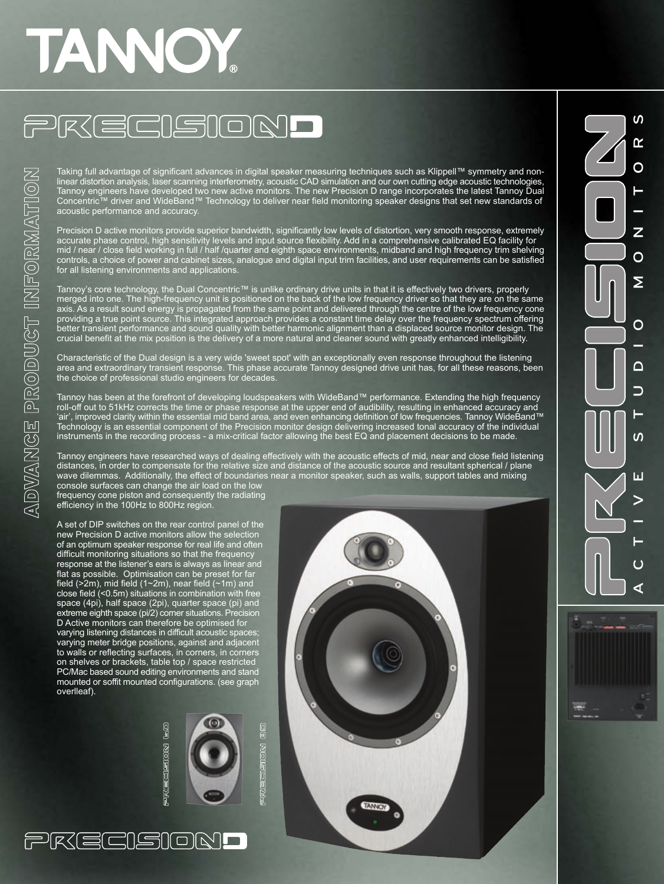# TANOY

## PREEISIOND

Taking full advantage of significant advances in digital speaker measuring techniques such as Klippell™ symmetry and nonlinear distortion analysis, laser scanning interferometry, acoustic CAD simulation and our own cutting edge acoustic technologies, Tannoy engineers have developed two new active monitors. The new Precision D range incorporates the latest Tannoy Dual Concentric™ driver and WideBand™ Technology to deliver near field monitoring speaker designs that set new standards of acoustic performance and accuracy.

Precision D active monitors provide superior bandwidth, significantly low levels of distortion, very smooth response, extremely accurate phase control, high sensitivity levels and input source flexibility. Add in a comprehensive calibrated EQ facility for mid / near / close field working in full / half /quarter and eighth space environments, midband and high frequency trim shelving controls, a choice of power and cabinet sizes, analogue and digital input trim facilities, and user requirements can be satisfied for all listening environments and applications.

Tannoy's core technology, the Dual Concentric™ is unlike ordinary drive units in that it is effectively two drivers, properly merged into one. The high-frequency unit is positioned on the back of the low frequency driver so that they are on the same axis. As a result sound energy is propagated from the same point and delivered through the centre of the low frequency cone providing a true point source. This integrated approach provides a constant time delay over the frequency spectrum offering better transient performance and sound quality with better harmonic alignment than a displaced source monitor design. The crucial benefit at the mix position is the delivery of a more natural and cleaner sound with greatly enhanced intelligibility.

Characteristic of the Dual design is a very wide 'sweet spot' with an exceptionally even response throughout the listening area and extraordinary transient response. This phase accurate Tannoy designed drive unit has, for all these reasons, been the choice of professional studio engineers for decades.

Tannoy has been at the forefront of developing loudspeakers with WideBand™ performance. Extending the high frequency roll-off out to 51kHz corrects the time or phase response at the upper end of audibility, resulting in enhanced accuracy and 'air', improved clarity within the essential mid band area, and even enhancing definition of low frequencies. Tannoy WideBand™ Technology is an essential component of the Precision monitor design delivering increased tonal accuracy of the individual instruments in the recording process - a mix-critical factor allowing the best EQ and placement decisions to be made.

Tannoy engineers have researched ways of dealing effectively with the acoustic effects of mid, near and close field listening distances, in order to compensate for the relative size and distance of the acoustic source and resultant spherical / plane wave dilemmas. Additionally, the effect of boundaries near a monitor speaker, such as walls, support tables and mixing

console surfaces can change the air load on the low frequency cone piston and consequently the radiating efficiency in the 100Hz to 800Hz region.

ADVANCE PRODUCT INFORMATION

A set of DIP switches on the rear control panel of the new Precision D active monitors allow the selection of an optimum speaker response for real life and often difficult monitoring situations so that the frequency response at the listener's ears is always as linear and flat as possible. Optimisation can be preset for far field ( $>2m$ ), mid field ( $1~2m$ ), near field ( $~1m$ ) and close field (<0.5m) situations in combination with free space (4pi), half space (2pi), quarter space (pi) and extreme eighth space (pi/2) corner situations. Precision D Active monitors can therefore be optimised for varying listening distances in difficult acoustic spaces; varying meter bridge positions, against and adjacent to walls or reflecting surfaces, in corners, in corners on shelves or brackets, table top / space restricted PC/Mac based sound editing environments and stand mounted or soffit mounted configurations. (see graph overlleaf).

PREEISIOND



0<br>0